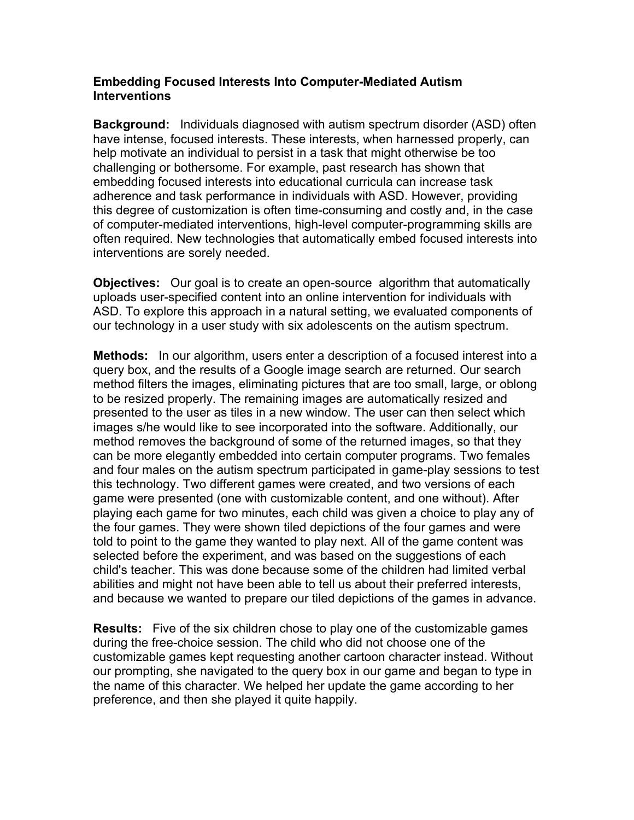## **Embedding Focused Interests Into Computer-Mediated Autism Interventions**

**Background:** Individuals diagnosed with autism spectrum disorder (ASD) often have intense, focused interests. These interests, when harnessed properly, can help motivate an individual to persist in a task that might otherwise be too challenging or bothersome. For example, past research has shown that embedding focused interests into educational curricula can increase task adherence and task performance in individuals with ASD. However, providing this degree of customization is often time-consuming and costly and, in the case of computer-mediated interventions, high-level computer-programming skills are often required. New technologies that automatically embed focused interests into interventions are sorely needed.

**Objectives:** Our goal is to create an open-source algorithm that automatically uploads user-specified content into an online intervention for individuals with ASD. To explore this approach in a natural setting, we evaluated components of our technology in a user study with six adolescents on the autism spectrum.

**Methods:** In our algorithm, users enter a description of a focused interest into a query box, and the results of a Google image search are returned. Our search method filters the images, eliminating pictures that are too small, large, or oblong to be resized properly. The remaining images are automatically resized and presented to the user as tiles in a new window. The user can then select which images s/he would like to see incorporated into the software. Additionally, our method removes the background of some of the returned images, so that they can be more elegantly embedded into certain computer programs. Two females and four males on the autism spectrum participated in game-play sessions to test this technology. Two different games were created, and two versions of each game were presented (one with customizable content, and one without). After playing each game for two minutes, each child was given a choice to play any of the four games. They were shown tiled depictions of the four games and were told to point to the game they wanted to play next. All of the game content was selected before the experiment, and was based on the suggestions of each child's teacher. This was done because some of the children had limited verbal abilities and might not have been able to tell us about their preferred interests, and because we wanted to prepare our tiled depictions of the games in advance.

**Results:** Five of the six children chose to play one of the customizable games during the free-choice session. The child who did not choose one of the customizable games kept requesting another cartoon character instead. Without our prompting, she navigated to the query box in our game and began to type in the name of this character. We helped her update the game according to her preference, and then she played it quite happily.